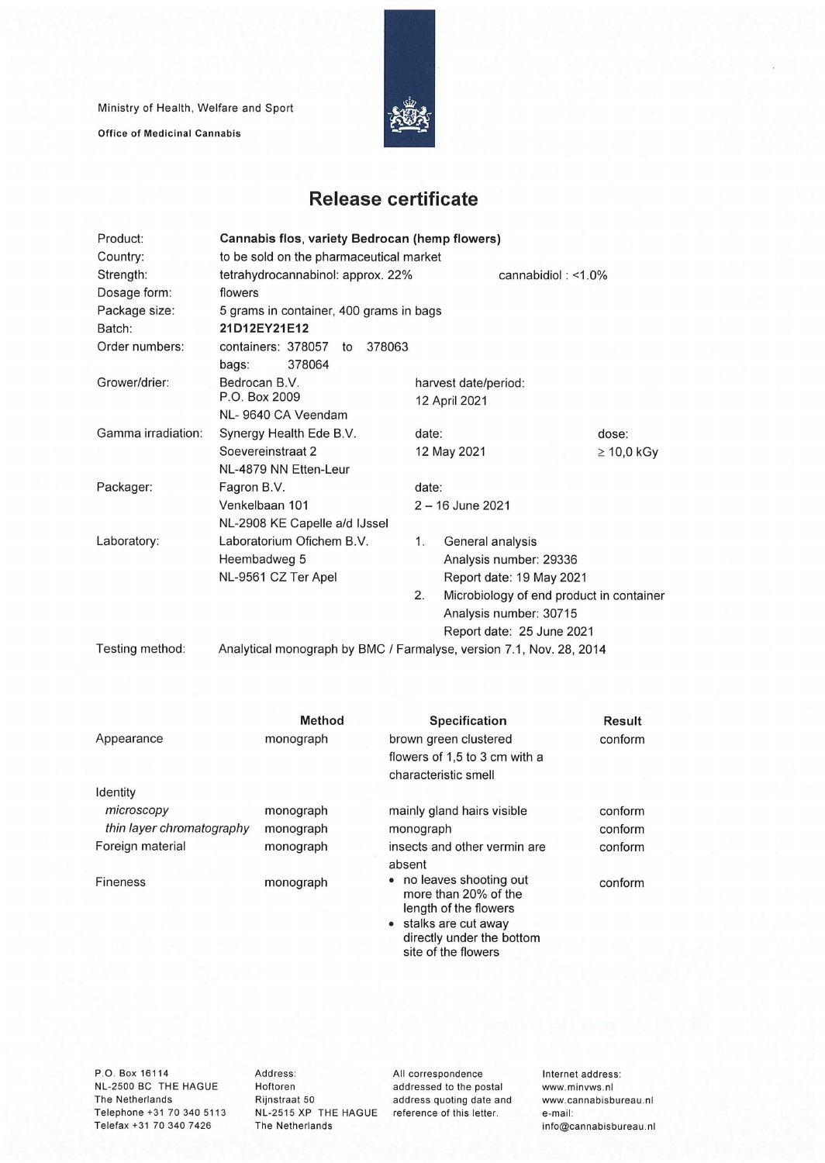Ministry of Health, Welfare and Sport

**Office of Medicinal Cannabis** 



## **Release certificate**

| Product:           | Cannabis flos, variety Bedrocan (hemp flowers)                      |                    |                                          |                 |  |
|--------------------|---------------------------------------------------------------------|--------------------|------------------------------------------|-----------------|--|
| Country:           | to be sold on the pharmaceutical market                             |                    |                                          |                 |  |
| Strength:          | tetrahydrocannabinol: approx. 22%<br>cannabidiol: $<$ 1.0%          |                    |                                          |                 |  |
| Dosage form:       | flowers                                                             |                    |                                          |                 |  |
| Package size:      | 5 grams in container, 400 grams in bags                             |                    |                                          |                 |  |
| Batch:             | 21D12EY21E12                                                        |                    |                                          |                 |  |
| Order numbers:     | containers: 378057<br>378063<br>to                                  |                    |                                          |                 |  |
|                    | 378064<br>bags:                                                     |                    |                                          |                 |  |
| Grower/drier:      | Bedrocan B.V.                                                       |                    | harvest date/period:                     |                 |  |
|                    | P.O. Box 2009                                                       |                    | 12 April 2021                            |                 |  |
|                    | NL-9640 CA Veendam                                                  |                    |                                          |                 |  |
| Gamma irradiation: | Synergy Health Ede B.V.                                             | date:              |                                          | dose:           |  |
|                    | Soevereinstraat 2                                                   |                    | 12 May 2021                              | $\geq 10,0$ kGy |  |
|                    | NL-4879 NN Etten-Leur                                               |                    |                                          |                 |  |
| Packager:          | Fagron B.V.                                                         | date:              |                                          |                 |  |
|                    | Venkelbaan 101                                                      | $2 - 16$ June 2021 |                                          |                 |  |
|                    | NL-2908 KE Capelle a/d IJssel                                       |                    |                                          |                 |  |
| Laboratory:        | Laboratorium Ofichem B.V.                                           | 1.                 | General analysis                         |                 |  |
|                    | Heembadweg 5                                                        |                    | Analysis number: 29336                   |                 |  |
|                    | NL-9561 CZ Ter Apel                                                 |                    | Report date: 19 May 2021                 |                 |  |
|                    |                                                                     | 2.                 | Microbiology of end product in container |                 |  |
|                    |                                                                     |                    | Analysis number: 30715                   |                 |  |
|                    |                                                                     |                    | Report date: 25 June 2021                |                 |  |
| Testing method:    | Analytical monograph by BMC / Farmalyse, version 7.1, Nov. 28, 2014 |                    |                                          |                 |  |

| Appearance                | Method<br>monograph | <b>Specification</b><br>brown green clustered                                                                                   | Result<br>conform |
|---------------------------|---------------------|---------------------------------------------------------------------------------------------------------------------------------|-------------------|
|                           |                     | flowers of 1,5 to 3 cm with a<br>characteristic smell                                                                           |                   |
| Identity                  |                     |                                                                                                                                 |                   |
| microscopy                | monograph           | mainly gland hairs visible                                                                                                      | conform           |
| thin layer chromatography | monograph           | monograph                                                                                                                       | conform           |
| Foreign material          | monograph           | insects and other vermin are<br>absent                                                                                          | conform           |
| Fineness                  | monograph           | • no leaves shooting out<br>more than 20% of the<br>length of the flowers<br>• stalks are cut away<br>directly under the bottom | conform           |
|                           |                     | site of the flowers                                                                                                             |                   |

NL-2500 BC THE HAGUE Hoftoren<br>The Netherlands Rijnstraat 50 Telephone +31 70 340 5113 NL-2515 XP THE HAGUE reference of this letter. e-mail:<br>Telefax +31 70 340 7426 The Netherlands Telefax +31 70 340 7426

P.O. Box 16114 **Address:** All correspondence internet address:<br>NL-2500 BC THE HAGUE Hoftoren and addressed to the postal www.minvws.nl Rijnstraat 50 address quoting date and www.cannabisbureau.nl<br>NL-2515 XP THE HAGUE reference of this letter. e-mail: